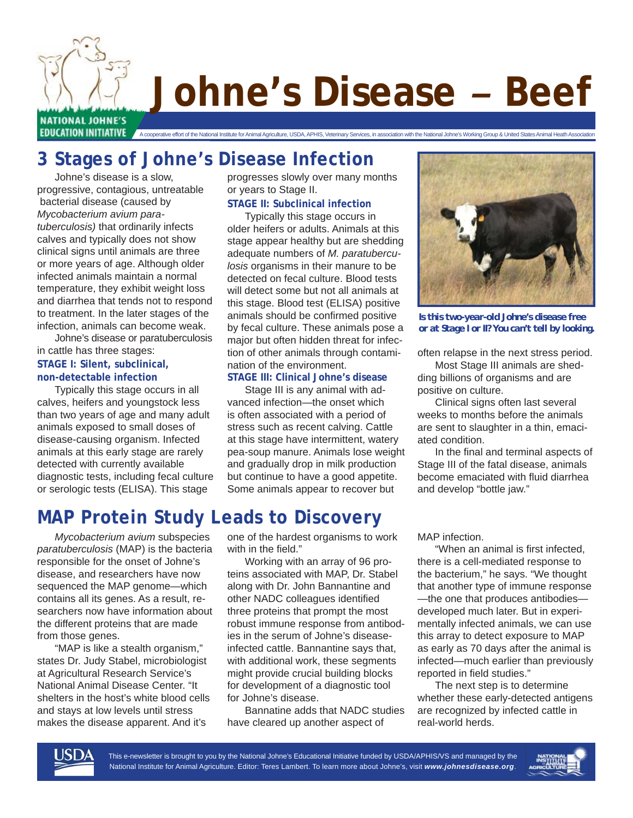

# **Johne's Disease** *–* **Beef**

EDUCATION INITIATIVE A cooperative effort of the National Institute for Animal Agriculture, USDA, APHIS, Veterinary Services, in association with the National Johne's Working Group & United States Animal Heath Association

## **3 Stages of Johne's Disease Infection**

 Johne's disease is a slow, progressive, contagious, untreatable bacterial disease (caused by *Mycobacterium avium paratuberculosis)* that ordinarily infects calves and typically does not show clinical signs until animals are three or more years of age. Although older infected animals maintain a normal temperature, they exhibit weight loss and diarrhea that tends not to respond to treatment. In the later stages of the infection, animals can become weak.

 Johne's disease or paratuberculosis in cattle has three stages:

#### **STAGE I: Silent, subclinical, non-detectable infection**

 Typically this stage occurs in all calves, heifers and youngstock less than two years of age and many adult animals exposed to small doses of disease-causing organism. Infected animals at this early stage are rarely detected with currently available diagnostic tests, including fecal culture or serologic tests (ELISA). This stage

progresses slowly over many months or years to Stage II.

#### **STAGE II: Subclinical infection**

 Typically this stage occurs in older heifers or adults. Animals at this stage appear healthy but are shedding adequate numbers of *M. paratuberculosis* organisms in their manure to be detected on fecal culture. Blood tests will detect some but not all animals at this stage. Blood test (ELISA) positive animals should be confirmed positive by fecal culture. These animals pose a major but often hidden threat for infection of other animals through contamination of the environment.

#### **STAGE III: Clinical Johne's disease**

 Stage III is any animal with advanced infection—the onset which is often associated with a period of stress such as recent calving. Cattle at this stage have intermittent, watery pea-soup manure. Animals lose weight and gradually drop in milk production but continue to have a good appetite. Some animals appear to recover but



*Is this two-year-old Johne's disease free or at Stage I or II? You can't tell by looking.*

often relapse in the next stress period.

 Most Stage III animals are shedding billions of organisms and are positive on culture.

 Clinical signs often last several weeks to months before the animals are sent to slaughter in a thin, emaciated condition.

In the final and terminal aspects of Stage III of the fatal disease, animals become emaciated with fluid diarrhea and develop "bottle jaw."

# **MAP Protein Study Leads to Discovery**

 *Mycobacterium avium* subspecies *paratuberculosis* (MAP) is the bacteria responsible for the onset of Johne's disease, and researchers have now sequenced the MAP genome—which contains all its genes. As a result, researchers now have information about the different proteins that are made from those genes.

 "MAP is like a stealth organism," states Dr. Judy Stabel, microbiologist at Agricultural Research Service's National Animal Disease Center. "It shelters in the host's white blood cells and stays at low levels until stress makes the disease apparent. And it's

one of the hardest organisms to work with in the field."

 Working with an array of 96 proteins associated with MAP, Dr. Stabel along with Dr. John Bannantine and other NADC colleagues identified three proteins that prompt the most robust immune response from antibodies in the serum of Johne's diseaseinfected cattle. Bannantine says that, with additional work, these segments might provide crucial building blocks for development of a diagnostic tool for Johne's disease.

 Bannatine adds that NADC studies have cleared up another aspect of

MAP infection.

"When an animal is first infected, there is a cell-mediated response to the bacterium," he says. "We thought that another type of immune response —the one that produces antibodies developed much later. But in experimentally infected animals, we can use this array to detect exposure to MAP as early as 70 days after the animal is infected—much earlier than previously reported in field studies."

 The next step is to determine whether these early-detected antigens are recognized by infected cattle in real-world herds.



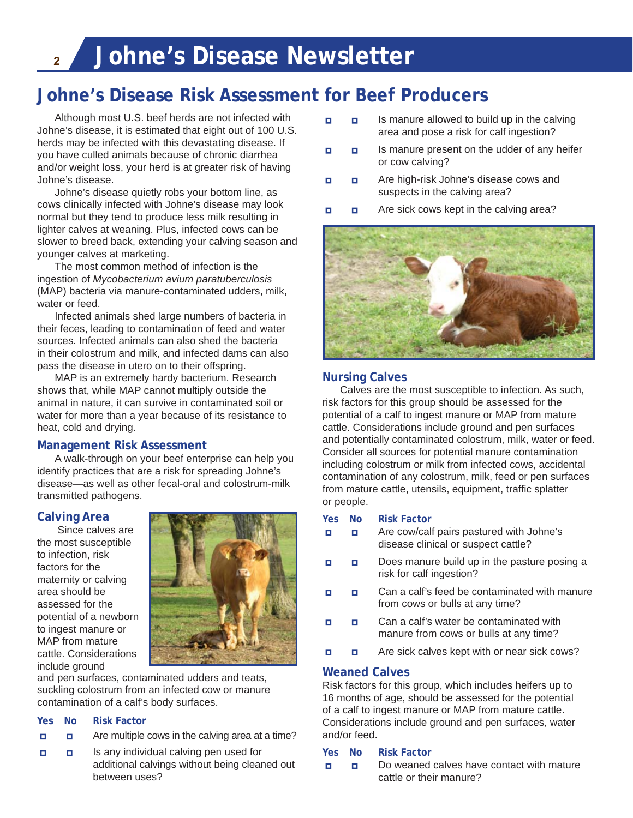### **Johne's Disease Risk Assessment for Beef Producers**

 Although most U.S. beef herds are not infected with Johne's disease, it is estimated that eight out of 100 U.S. herds may be infected with this devastating disease. If you have culled animals because of chronic diarrhea and/or weight loss, your herd is at greater risk of having Johne's disease.

 Johne's disease quietly robs your bottom line, as cows clinically infected with Johne's disease may look normal but they tend to produce less milk resulting in lighter calves at weaning. Plus, infected cows can be slower to breed back, extending your calving season and younger calves at marketing.

 The most common method of infection is the ingestion of *Mycobacterium avium paratuberculosis*  (MAP) bacteria via manure-contaminated udders, milk, water or feed.

 Infected animals shed large numbers of bacteria in their feces, leading to contamination of feed and water sources. Infected animals can also shed the bacteria in their colostrum and milk, and infected dams can also pass the disease in utero on to their offspring.

 MAP is an extremely hardy bacterium. Research shows that, while MAP cannot multiply outside the animal in nature, it can survive in contaminated soil or water for more than a year because of its resistance to heat, cold and drying.

#### **Management Risk Assessment**

 A walk-through on your beef enterprise can help you identify practices that are a risk for spreading Johne's disease—as well as other fecal-oral and colostrum-milk transmitted pathogens.

#### **Calving Area**

 Since calves are the most susceptible to infection, risk factors for the maternity or calving area should be assessed for the potential of a newborn to ingest manure or MAP from mature cattle. Considerations include ground



and pen surfaces, contaminated udders and teats, suckling colostrum from an infected cow or manure contamination of a calf's body surfaces.

#### **Yes No Risk Factor**

- **□ □** Are multiple cows in the calving area at a time?
- **□ □** Is any individual calving pen used for additional calvings without being cleaned out between uses?
- **□ □** Is manure allowed to build up in the calving area and pose a risk for calf ingestion?
- **□ □** Is manure present on the udder of any heifer or cow calving?
- **□ □** Are high-risk Johne's disease cows and suspects in the calving area?
- **□ □** Are sick cows kept in the calving area?



#### **Nursing Calves**

 Calves are the most susceptible to infection. As such, risk factors for this group should be assessed for the potential of a calf to ingest manure or MAP from mature cattle. Considerations include ground and pen surfaces and potentially contaminated colostrum, milk, water or feed. Consider all sources for potential manure contamination including colostrum or milk from infected cows, accidental contamination of any colostrum, milk, feed or pen surfaces from mature cattle, utensils, equipment, traffic splatter or people.

#### **Yes No Risk Factor**

- **□ □** Are cow/calf pairs pastured with Johne's disease clinical or suspect cattle?
- **□ □** Does manure build up in the pasture posing a risk for calf ingestion?
- **□ □** Can a calf's feed be contaminated with manure from cows or bulls at any time?
- **□ □** Can a calf's water be contaminated with manure from cows or bulls at any time?
- **□ □** Are sick calves kept with or near sick cows?

#### **Weaned Calves**

Risk factors for this group, which includes heifers up to 16 months of age, should be assessed for the potential of a calf to ingest manure or MAP from mature cattle. Considerations include ground and pen surfaces, water and/or feed.

#### **Yes No Risk Factor**

**□ □** Do weaned calves have contact with mature cattle or their manure?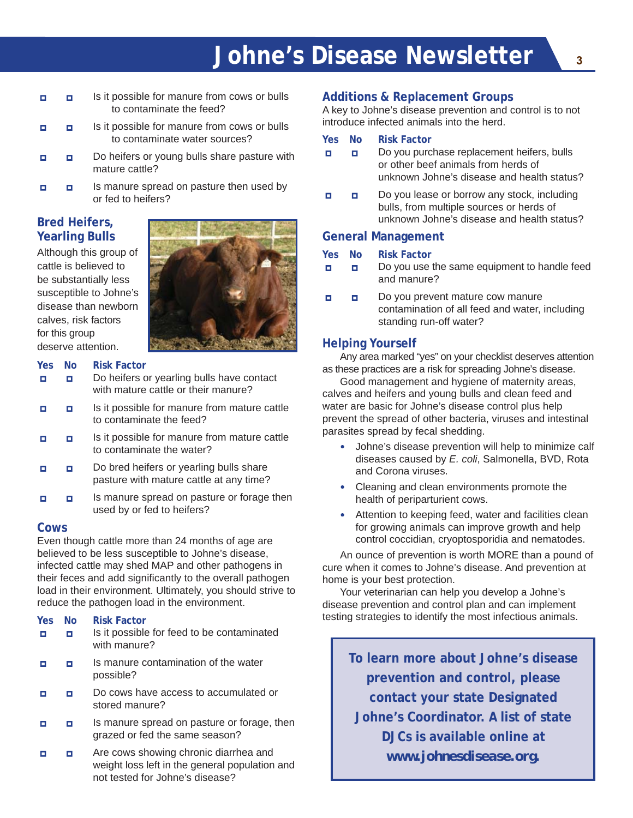# **Johne's Disease Newsletter <sup>3</sup>**

- **□ □** Is it possible for manure from cows or bulls to contaminate the feed?
- **□ □** Is it possible for manure from cows or bulls to contaminate water sources?
- **□ □** Do heifers or young bulls share pasture with mature cattle?
- **□ □** Is manure spread on pasture then used by or fed to heifers?

#### **Bred Heifers, Yearling Bulls**

Although this group of cattle is believed to be substantially less susceptible to Johne's disease than newborn calves, risk factors for this group deserve attention.



#### **Yes No Risk Factor**

- **□ □** Do heifers or yearling bulls have contact with mature cattle or their manure?
- **□ □** Is it possible for manure from mature cattle to contaminate the feed?
- **□ □** Is it possible for manure from mature cattle to contaminate the water?
- **□ □** Do bred heifers or yearling bulls share pasture with mature cattle at any time?
- **□ □** Is manure spread on pasture or forage then used by or fed to heifers?

#### **Cows**

Even though cattle more than 24 months of age are believed to be less susceptible to Johne's disease, infected cattle may shed MAP and other pathogens in their feces and add significantly to the overall pathogen load in their environment. Ultimately, you should strive to reduce the pathogen load in the environment.

#### **Yes No Risk Factor**

- **□ □** Is it possible for feed to be contaminated with manure?
- **□ □** Is manure contamination of the water possible?
- **□ □** Do cows have access to accumulated or stored manure?
- **□ □** Is manure spread on pasture or forage, then grazed or fed the same season?
- **□ □** Are cows showing chronic diarrhea and weight loss left in the general population and not tested for Johne's disease?

#### **Additions & Replacement Groups**

A key to Johne's disease prevention and control is to not introduce infected animals into the herd.

#### **Yes No Risk Factor**

- **□ □** Do you purchase replacement heifers, bulls or other beef animals from herds of unknown Johne's disease and health status?
- **□ □** Do you lease or borrow any stock, including bulls, from multiple sources or herds of unknown Johne's disease and health status?

#### **General Management**

#### **Yes No Risk Factor**

- **□ □** Do you use the same equipment to handle feed and manure?
- **□ □** Do you prevent mature cow manure contamination of all feed and water, including standing run-off water?

#### **Helping Yourself**

 Any area marked "yes" on your checklist deserves attention as these practices are a risk for spreading Johne's disease.

 Good management and hygiene of maternity areas, calves and heifers and young bulls and clean feed and water are basic for Johne's disease control plus help prevent the spread of other bacteria, viruses and intestinal parasites spread by fecal shedding.

- Johne's disease prevention will help to minimize calf diseases caused by *E. coli*, Salmonella, BVD, Rota and Corona viruses.
- Cleaning and clean environments promote the health of periparturient cows.
- Attention to keeping feed, water and facilities clean for growing animals can improve growth and help control coccidian, cryoptosporidia and nematodes.

 An ounce of prevention is worth MORE than a pound of cure when it comes to Johne's disease. And prevention at home is your best protection.

 Your veterinarian can help you develop a Johne's disease prevention and control plan and can implement testing strategies to identify the most infectious animals.

**To learn more about Johne's disease prevention and control, please contact your state Designated Johne's Coordinator. A list of state DJCs is available online at**  *www.johnesdisease.org***.**